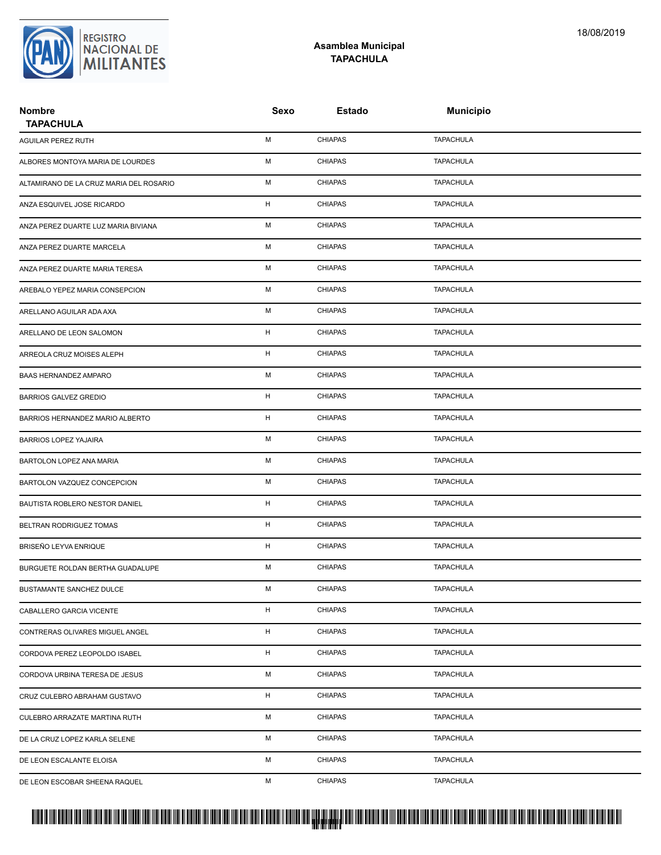

## **Asamblea Municipal TAPACHULA**

| <b>Nombre</b><br><b>TAPACHULA</b>       | Sexo         | <b>Estado</b>  | <b>Municipio</b> |  |
|-----------------------------------------|--------------|----------------|------------------|--|
| AGUILAR PEREZ RUTH                      | М            | <b>CHIAPAS</b> | <b>TAPACHULA</b> |  |
| ALBORES MONTOYA MARIA DE LOURDES        | М            | <b>CHIAPAS</b> | <b>TAPACHULA</b> |  |
| ALTAMIRANO DE LA CRUZ MARIA DEL ROSARIO | М            | <b>CHIAPAS</b> | <b>TAPACHULA</b> |  |
| ANZA ESQUIVEL JOSE RICARDO              | н            | <b>CHIAPAS</b> | <b>TAPACHULA</b> |  |
| ANZA PEREZ DUARTE LUZ MARIA BIVIANA     | М            | <b>CHIAPAS</b> | <b>TAPACHULA</b> |  |
| ANZA PEREZ DUARTE MARCELA               | М            | <b>CHIAPAS</b> | <b>TAPACHULA</b> |  |
| ANZA PEREZ DUARTE MARIA TERESA          | М            | <b>CHIAPAS</b> | <b>TAPACHULA</b> |  |
| AREBALO YEPEZ MARIA CONSEPCION          | М            | <b>CHIAPAS</b> | <b>TAPACHULA</b> |  |
| ARELLANO AGUILAR ADA AXA                | М            | <b>CHIAPAS</b> | <b>TAPACHULA</b> |  |
| ARELLANO DE LEON SALOMON                | H            | <b>CHIAPAS</b> | <b>TAPACHULA</b> |  |
| ARREOLA CRUZ MOISES ALEPH               | H            | <b>CHIAPAS</b> | <b>TAPACHULA</b> |  |
| BAAS HERNANDEZ AMPARO                   | М            | <b>CHIAPAS</b> | <b>TAPACHULA</b> |  |
| <b>BARRIOS GALVEZ GREDIO</b>            | H            | <b>CHIAPAS</b> | <b>TAPACHULA</b> |  |
| BARRIOS HERNANDEZ MARIO ALBERTO         | н            | <b>CHIAPAS</b> | <b>TAPACHULA</b> |  |
| <b>BARRIOS LOPEZ YAJAIRA</b>            | М            | <b>CHIAPAS</b> | <b>TAPACHULA</b> |  |
| BARTOLON LOPEZ ANA MARIA                | М            | <b>CHIAPAS</b> | <b>TAPACHULA</b> |  |
| BARTOLON VAZQUEZ CONCEPCION             | М            | <b>CHIAPAS</b> | <b>TAPACHULA</b> |  |
| BAUTISTA ROBLERO NESTOR DANIEL          | н            | <b>CHIAPAS</b> | <b>TAPACHULA</b> |  |
| BELTRAN RODRIGUEZ TOMAS                 | н            | <b>CHIAPAS</b> | <b>TAPACHULA</b> |  |
| BRISEÑO LEYVA ENRIQUE                   | H            | <b>CHIAPAS</b> | <b>TAPACHULA</b> |  |
| BURGUETE ROLDAN BERTHA GUADALUPE        | М            | <b>CHIAPAS</b> | <b>TAPACHULA</b> |  |
| BUSTAMANTE SANCHEZ DULCE                | М            | CHIAPAS        | <b>TAPACHULA</b> |  |
| CABALLERO GARCIA VICENTE                | $\mathsf{H}$ | <b>CHIAPAS</b> | <b>TAPACHULA</b> |  |
| CONTRERAS OLIVARES MIGUEL ANGEL         | H            | <b>CHIAPAS</b> | <b>TAPACHULA</b> |  |
| CORDOVA PEREZ LEOPOLDO ISABEL           | H            | <b>CHIAPAS</b> | <b>TAPACHULA</b> |  |
| CORDOVA URBINA TERESA DE JESUS          | М            | <b>CHIAPAS</b> | <b>TAPACHULA</b> |  |
| CRUZ CULEBRO ABRAHAM GUSTAVO            | H            | <b>CHIAPAS</b> | <b>TAPACHULA</b> |  |
| CULEBRO ARRAZATE MARTINA RUTH           | М            | <b>CHIAPAS</b> | <b>TAPACHULA</b> |  |
| DE LA CRUZ LOPEZ KARLA SELENE           | М            | <b>CHIAPAS</b> | <b>TAPACHULA</b> |  |
| DE LEON ESCALANTE ELOISA                | М            | <b>CHIAPAS</b> | <b>TAPACHULA</b> |  |
| DE LEON ESCOBAR SHEENA RAQUEL           | М            | <b>CHIAPAS</b> | <b>TAPACHULA</b> |  |

# PROTUCCION SU REGION DA SU REGIONAL DE LA SULTA SU REGIONAL DE MILITANTES CONTRADO NACIONAL DE MILITANTES CONTRADO N <mark>. Pangyakan k</mark>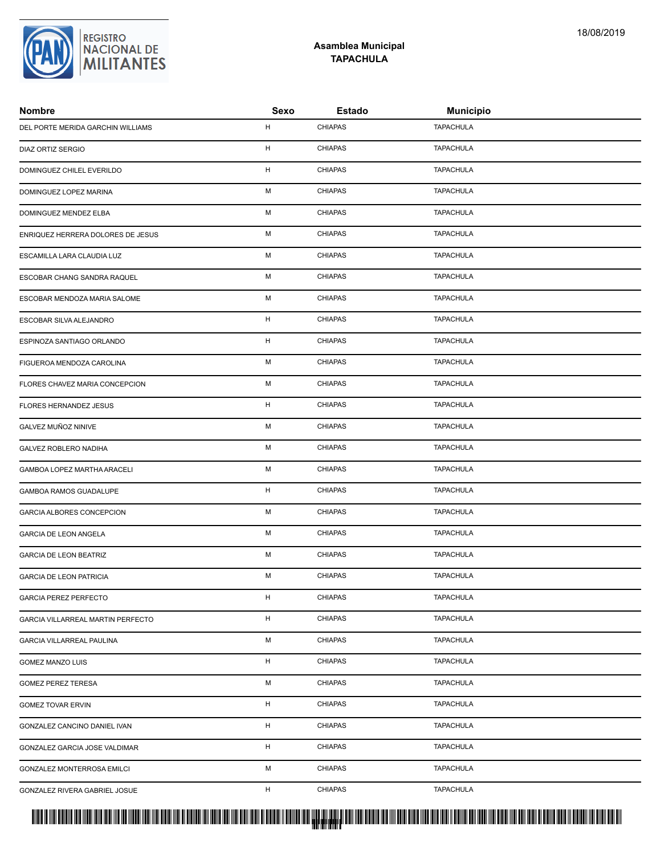# <mark>. Pangyakan k</mark>

| DEL PORTE MERIDA GARCHIN WILLIAMS | H | <b>CHIAPAS</b> | <b>TAPACHULA</b> |
|-----------------------------------|---|----------------|------------------|
| <b>DIAZ ORTIZ SERGIO</b>          | H | <b>CHIAPAS</b> | <b>TAPACHULA</b> |
| DOMINGUEZ CHILEL EVERILDO         | H | <b>CHIAPAS</b> | <b>TAPACHULA</b> |
| DOMINGUEZ LOPEZ MARINA            | M | <b>CHIAPAS</b> | <b>TAPACHULA</b> |
| DOMINGUEZ MENDEZ ELBA             | М | <b>CHIAPAS</b> | <b>TAPACHULA</b> |
| ENRIQUEZ HERRERA DOLORES DE JESUS | M | <b>CHIAPAS</b> | <b>TAPACHULA</b> |
| ESCAMILLA LARA CLAUDIA LUZ        | M | <b>CHIAPAS</b> | <b>TAPACHULA</b> |
| ESCOBAR CHANG SANDRA RAQUEL       | M | <b>CHIAPAS</b> | <b>TAPACHULA</b> |
| ESCOBAR MENDOZA MARIA SALOME      | M | <b>CHIAPAS</b> | <b>TAPACHULA</b> |
| ESCOBAR SILVA ALEJANDRO           | H | <b>CHIAPAS</b> | <b>TAPACHULA</b> |
| ESPINOZA SANTIAGO ORLANDO         | H | <b>CHIAPAS</b> | <b>TAPACHULA</b> |
| FIGUEROA MENDOZA CAROLINA         | M | <b>CHIAPAS</b> | <b>TAPACHULA</b> |
| FLORES CHAVEZ MARIA CONCEPCION    | M | <b>CHIAPAS</b> | <b>TAPACHULA</b> |
| FLORES HERNANDEZ JESUS            | H | <b>CHIAPAS</b> | <b>TAPACHULA</b> |
| GALVEZ MUÑOZ NINIVE               | M | <b>CHIAPAS</b> | <b>TAPACHULA</b> |
| GALVEZ ROBLERO NADIHA             | M | <b>CHIAPAS</b> | <b>TAPACHULA</b> |
| GAMBOA LOPEZ MARTHA ARACELI       | M | <b>CHIAPAS</b> | <b>TAPACHULA</b> |
| GAMBOA RAMOS GUADALUPE            | H | <b>CHIAPAS</b> | <b>TAPACHULA</b> |
| GARCIA ALBORES CONCEPCION         | M | <b>CHIAPAS</b> | <b>TAPACHULA</b> |
| <b>GARCIA DE LEON ANGELA</b>      | M | <b>CHIAPAS</b> | <b>TAPACHULA</b> |
| <b>GARCIA DE LEON BEATRIZ</b>     | M | <b>CHIAPAS</b> | <b>TAPACHULA</b> |
| <b>GARCIA DE LEON PATRICIA</b>    | M | <b>CHIAPAS</b> | <b>TAPACHULA</b> |
| <b>GARCIA PEREZ PERFECTO</b>      | H | <b>CHIAPAS</b> | <b>TAPACHULA</b> |
| GARCIA VILLARREAL MARTIN PERFECTO | H | <b>CHIAPAS</b> | <b>TAPACHULA</b> |
| <b>GARCIA VILLARREAL PAULINA</b>  | М | <b>CHIAPAS</b> | <b>TAPACHULA</b> |
| <b>GOMEZ MANZO LUIS</b>           | H | <b>CHIAPAS</b> | <b>TAPACHULA</b> |
| <b>GOMEZ PEREZ TERESA</b>         | M | <b>CHIAPAS</b> | <b>TAPACHULA</b> |
| <b>GOMEZ TOVAR ERVIN</b>          | H | <b>CHIAPAS</b> | <b>TAPACHULA</b> |
| GONZALEZ CANCINO DANIEL IVAN      | H | <b>CHIAPAS</b> | <b>TAPACHULA</b> |
| GONZALEZ GARCIA JOSE VALDIMAR     | H | <b>CHIAPAS</b> | <b>TAPACHULA</b> |
| GONZALEZ MONTERROSA EMILCI        | М | <b>CHIAPAS</b> | <b>TAPACHULA</b> |
| GONZALEZ RIVERA GABRIEL JOSUE     | H | <b>CHIAPAS</b> | <b>TAPACHULA</b> |



#### **Asamblea Municipal TAPACHULA**

**Nombre Sexo Estado Municipio**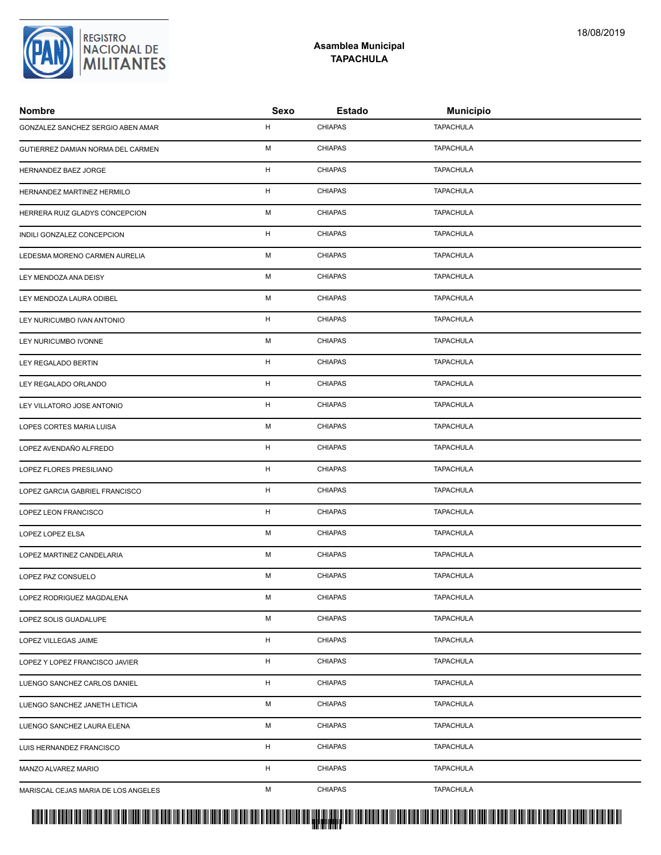# <mark>. Pangyakan k</mark>

| GONZALEZ SANCHEZ SERGIO ABEN AMAR   | H         | <b>CHIAPAS</b> | <b>TAPACHULA</b> |
|-------------------------------------|-----------|----------------|------------------|
| GUTIERREZ DAMIAN NORMA DEL CARMEN   | M         | <b>CHIAPAS</b> | <b>TAPACHULA</b> |
| HERNANDEZ BAEZ JORGE                | H         | <b>CHIAPAS</b> | <b>TAPACHULA</b> |
| HERNANDEZ MARTINEZ HERMILO          | H         | <b>CHIAPAS</b> | <b>TAPACHULA</b> |
| HERRERA RUIZ GLADYS CONCEPCION      | M         | <b>CHIAPAS</b> | <b>TAPACHULA</b> |
| INDILI GONZALEZ CONCEPCION          | H         | <b>CHIAPAS</b> | <b>TAPACHULA</b> |
| LEDESMA MORENO CARMEN AURELIA       | ${\sf M}$ | <b>CHIAPAS</b> | <b>TAPACHULA</b> |
| LEY MENDOZA ANA DEISY               | M         | <b>CHIAPAS</b> | <b>TAPACHULA</b> |
| LEY MENDOZA LAURA ODIBEL            | М         | <b>CHIAPAS</b> | <b>TAPACHULA</b> |
| LEY NURICUMBO IVAN ANTONIO          | H         | <b>CHIAPAS</b> | <b>TAPACHULA</b> |
| LEY NURICUMBO IVONNE                | M         | <b>CHIAPAS</b> | <b>TAPACHULA</b> |
| LEY REGALADO BERTIN                 | H         | <b>CHIAPAS</b> | <b>TAPACHULA</b> |
| LEY REGALADO ORLANDO                | H         | <b>CHIAPAS</b> | <b>TAPACHULA</b> |
| LEY VILLATORO JOSE ANTONIO          | H         | <b>CHIAPAS</b> | <b>TAPACHULA</b> |
| LOPES CORTES MARIA LUISA            | M         | <b>CHIAPAS</b> | <b>TAPACHULA</b> |
| LOPEZ AVENDAÑO ALFREDO              | H         | <b>CHIAPAS</b> | <b>TAPACHULA</b> |
| LOPEZ FLORES PRESILIANO             | H         | <b>CHIAPAS</b> | <b>TAPACHULA</b> |
| LOPEZ GARCIA GABRIEL FRANCISCO      | H         | <b>CHIAPAS</b> | <b>TAPACHULA</b> |
| LOPEZ LEON FRANCISCO                | H         | <b>CHIAPAS</b> | <b>TAPACHULA</b> |
| LOPEZ LOPEZ ELSA                    | M         | <b>CHIAPAS</b> | <b>TAPACHULA</b> |
| LOPEZ MARTINEZ CANDELARIA           | M         | <b>CHIAPAS</b> | <b>TAPACHULA</b> |
| LOPEZ PAZ CONSUELO                  | M         | <b>CHIAPAS</b> | <b>TAPACHULA</b> |
| LOPEZ RODRIGUEZ MAGDALENA           | м         | <b>CHIAPAS</b> | <b>TAPACHULA</b> |
| LOPEZ SOLIS GUADALUPE               | M         | <b>CHIAPAS</b> | <b>TAPACHULA</b> |
| LOPEZ VILLEGAS JAIME                | H         | <b>CHIAPAS</b> | <b>TAPACHULA</b> |
| LOPEZ Y LOPEZ FRANCISCO JAVIER      | H         | <b>CHIAPAS</b> | <b>TAPACHULA</b> |
| LUENGO SANCHEZ CARLOS DANIEL        | H         | <b>CHIAPAS</b> | <b>TAPACHULA</b> |
| LUENGO SANCHEZ JANETH LETICIA       | М         | <b>CHIAPAS</b> | <b>TAPACHULA</b> |
| LUENGO SANCHEZ LAURA ELENA          | М         | <b>CHIAPAS</b> | <b>TAPACHULA</b> |
| LUIS HERNANDEZ FRANCISCO            | H         | <b>CHIAPAS</b> | <b>TAPACHULA</b> |
| MANZO ALVAREZ MARIO                 | H         | <b>CHIAPAS</b> | <b>TAPACHULA</b> |
| MARISCAL CEJAS MARIA DE LOS ANGELES | М         | <b>CHIAPAS</b> | <b>TAPACHULA</b> |

**Asamblea Municipal TAPACHULA**

**Nombre Sexo Estado Municipio**

REGISTRO<br>|NACIONAL DE<br>|**MILITANTES**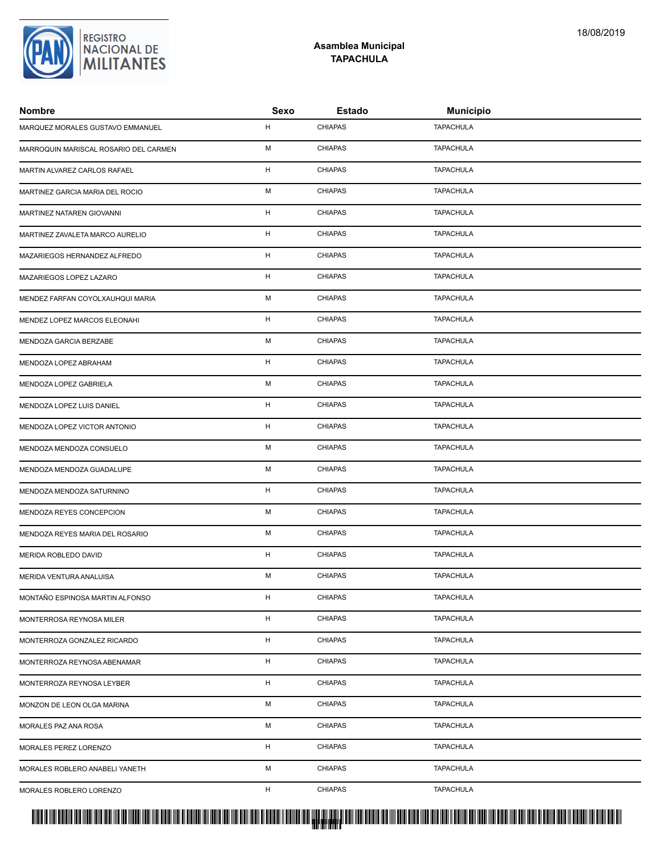# PROTUCCION SU REGION DA SU REGIONAL DE LA SULTA SU REGIONAL DE MILITANTES CONTRADO NACIONAL DE MILITANTES CONTRADO N <mark>. Pangyakan k</mark>

| Nombre                                | Sexo | <b>Estado</b>  | <b>Municipio</b> |  |
|---------------------------------------|------|----------------|------------------|--|
| MARQUEZ MORALES GUSTAVO EMMANUEL      | н    | <b>CHIAPAS</b> | <b>TAPACHULA</b> |  |
| MARROQUIN MARISCAL ROSARIO DEL CARMEN | М    | <b>CHIAPAS</b> | <b>TAPACHULA</b> |  |
| MARTIN ALVAREZ CARLOS RAFAEL          | H    | <b>CHIAPAS</b> | <b>TAPACHULA</b> |  |
| MARTINEZ GARCIA MARIA DEL ROCIO       | М    | <b>CHIAPAS</b> | <b>TAPACHULA</b> |  |
| MARTINEZ NATAREN GIOVANNI             | н    | <b>CHIAPAS</b> | <b>TAPACHULA</b> |  |
| MARTINEZ ZAVALETA MARCO AURELIO       | н    | <b>CHIAPAS</b> | <b>TAPACHULA</b> |  |
| MAZARIEGOS HERNANDEZ ALFREDO          | н    | <b>CHIAPAS</b> | <b>TAPACHULA</b> |  |
| MAZARIEGOS LOPEZ LAZARO               | н    | <b>CHIAPAS</b> | <b>TAPACHULA</b> |  |
| MENDEZ FARFAN COYOLXAUHQUI MARIA      | М    | <b>CHIAPAS</b> | <b>TAPACHULA</b> |  |
| MENDEZ LOPEZ MARCOS ELEONAHI          | н    | <b>CHIAPAS</b> | <b>TAPACHULA</b> |  |
| MENDOZA GARCIA BERZABE                | M    | <b>CHIAPAS</b> | <b>TAPACHULA</b> |  |
| MENDOZA LOPEZ ABRAHAM                 | н    | <b>CHIAPAS</b> | <b>TAPACHULA</b> |  |
| MENDOZA LOPEZ GABRIELA                | М    | <b>CHIAPAS</b> | <b>TAPACHULA</b> |  |
| MENDOZA LOPEZ LUIS DANIEL             | н    | <b>CHIAPAS</b> | <b>TAPACHULA</b> |  |
| MENDOZA LOPEZ VICTOR ANTONIO          | н    | <b>CHIAPAS</b> | <b>TAPACHULA</b> |  |
| MENDOZA MENDOZA CONSUELO              | М    | <b>CHIAPAS</b> | <b>TAPACHULA</b> |  |
| MENDOZA MENDOZA GUADALUPE             | М    | <b>CHIAPAS</b> | <b>TAPACHULA</b> |  |
| MENDOZA MENDOZA SATURNINO             | н    | <b>CHIAPAS</b> | <b>TAPACHULA</b> |  |
| MENDOZA REYES CONCEPCION              | М    | <b>CHIAPAS</b> | <b>TAPACHULA</b> |  |
| MENDOZA REYES MARIA DEL ROSARIO       | М    | <b>CHIAPAS</b> | <b>TAPACHULA</b> |  |
| <b>MERIDA ROBLEDO DAVID</b>           | н    | <b>CHIAPAS</b> | <b>TAPACHULA</b> |  |
| MERIDA VENTURA ANALUISA               | М    | <b>CHIAPAS</b> | <b>TAPACHULA</b> |  |
| MONTAÑO ESPINOSA MARTIN ALFONSO       | н    | <b>CHIAPAS</b> | <b>TAPACHULA</b> |  |
| MONTERROSA REYNOSA MILER              | н    | <b>CHIAPAS</b> | <b>TAPACHULA</b> |  |
| MONTERROZA GONZALEZ RICARDO           | н    | <b>CHIAPAS</b> | <b>TAPACHULA</b> |  |
| MONTERROZA REYNOSA ABENAMAR           | н    | <b>CHIAPAS</b> | <b>TAPACHULA</b> |  |
| MONTERROZA REYNOSA LEYBER             | н    | <b>CHIAPAS</b> | <b>TAPACHULA</b> |  |
| MONZON DE LEON OLGA MARINA            | М    | <b>CHIAPAS</b> | <b>TAPACHULA</b> |  |
| MORALES PAZ ANA ROSA                  | М    | <b>CHIAPAS</b> | <b>TAPACHULA</b> |  |
| MORALES PEREZ LORENZO                 | н    | <b>CHIAPAS</b> | <b>TAPACHULA</b> |  |
| MORALES ROBLERO ANABELI YANETH        | М    | <b>CHIAPAS</b> | <b>TAPACHULA</b> |  |
| MORALES ROBLERO LORENZO               | н    | <b>CHIAPAS</b> | <b>TAPACHULA</b> |  |
|                                       |      |                |                  |  |

**Asamblea Municipal TAPACHULA**

REGISTRO<br>|NACIONAL DE<br>|**MILITANTES**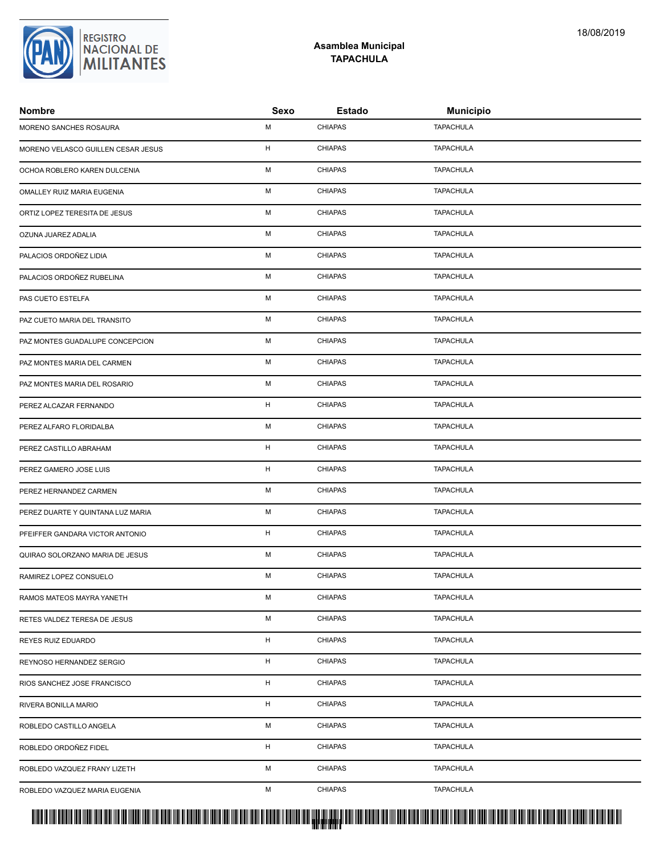# PROTUCCION SU REGION DA SU REGIONAL DE LA SULTA SU REGIONAL DE MILITANTES CONTRADO NACIONAL DE MILITANTES CONTRADO N <mark>. Pangyakan k</mark>

| Nombre                             | Sexo | <b>Estado</b>  | <b>Municipio</b> |
|------------------------------------|------|----------------|------------------|
| MORENO SANCHES ROSAURA             | М    | <b>CHIAPAS</b> | <b>TAPACHULA</b> |
| MORENO VELASCO GUILLEN CESAR JESUS | H    | <b>CHIAPAS</b> | <b>TAPACHULA</b> |
| OCHOA ROBLERO KAREN DULCENIA       | M    | <b>CHIAPAS</b> | <b>TAPACHULA</b> |
| OMALLEY RUIZ MARIA EUGENIA         | M    | <b>CHIAPAS</b> | <b>TAPACHULA</b> |
| ORTIZ LOPEZ TERESITA DE JESUS      | M    | <b>CHIAPAS</b> | <b>TAPACHULA</b> |
| OZUNA JUAREZ ADALIA                | M    | <b>CHIAPAS</b> | <b>TAPACHULA</b> |
| PALACIOS ORDOÑEZ LIDIA             | М    | <b>CHIAPAS</b> | <b>TAPACHULA</b> |
| PALACIOS ORDOÑEZ RUBELINA          | M    | <b>CHIAPAS</b> | <b>TAPACHULA</b> |
| PAS CUETO ESTELFA                  | M    | <b>CHIAPAS</b> | <b>TAPACHULA</b> |
| PAZ CUETO MARIA DEL TRANSITO       | M    | <b>CHIAPAS</b> | <b>TAPACHULA</b> |
| PAZ MONTES GUADALUPE CONCEPCION    | М    | <b>CHIAPAS</b> | <b>TAPACHULA</b> |
| PAZ MONTES MARIA DEL CARMEN        | М    | <b>CHIAPAS</b> | <b>TAPACHULA</b> |
| PAZ MONTES MARIA DEL ROSARIO       | M    | <b>CHIAPAS</b> | <b>TAPACHULA</b> |
| PEREZ ALCAZAR FERNANDO             | H    | <b>CHIAPAS</b> | <b>TAPACHULA</b> |
| PEREZ ALFARO FLORIDALBA            | M    | <b>CHIAPAS</b> | <b>TAPACHULA</b> |
| PEREZ CASTILLO ABRAHAM             | н    | <b>CHIAPAS</b> | <b>TAPACHULA</b> |
| PEREZ GAMERO JOSE LUIS             | H    | <b>CHIAPAS</b> | <b>TAPACHULA</b> |
| PEREZ HERNANDEZ CARMEN             | M    | <b>CHIAPAS</b> | <b>TAPACHULA</b> |
| PEREZ DUARTE Y QUINTANA LUZ MARIA  | М    | <b>CHIAPAS</b> | TAPACHULA        |
| PFEIFFER GANDARA VICTOR ANTONIO    | н    | <b>CHIAPAS</b> | <b>TAPACHULA</b> |
| QUIRAO SOLORZANO MARIA DE JESUS    | M    | <b>CHIAPAS</b> | <b>TAPACHULA</b> |
| RAMIREZ LOPEZ CONSUELO             | м    | <b>CHIAPAS</b> | <b>TAPACHULA</b> |
| RAMOS MATEOS MAYRA YANETH          | М    | <b>CHIAPAS</b> | <b>TAPACHULA</b> |
| RETES VALDEZ TERESA DE JESUS       | М    | <b>CHIAPAS</b> | <b>TAPACHULA</b> |
| REYES RUIZ EDUARDO                 | H    | <b>CHIAPAS</b> | <b>TAPACHULA</b> |
| REYNOSO HERNANDEZ SERGIO           | н    | <b>CHIAPAS</b> | <b>TAPACHULA</b> |
| RIOS SANCHEZ JOSE FRANCISCO        | H    | <b>CHIAPAS</b> | <b>TAPACHULA</b> |
| RIVERA BONILLA MARIO               | H    | <b>CHIAPAS</b> | <b>TAPACHULA</b> |
| ROBLEDO CASTILLO ANGELA            | M    | <b>CHIAPAS</b> | <b>TAPACHULA</b> |
| ROBLEDO ORDOÑEZ FIDEL              | н    | <b>CHIAPAS</b> | <b>TAPACHULA</b> |
| ROBLEDO VAZQUEZ FRANY LIZETH       | M    | <b>CHIAPAS</b> | <b>TAPACHULA</b> |
| ROBLEDO VAZQUEZ MARIA EUGENIA      | М    | <b>CHIAPAS</b> | <b>TAPACHULA</b> |
|                                    |      |                |                  |



### **Asamblea Municipal TAPACHULA**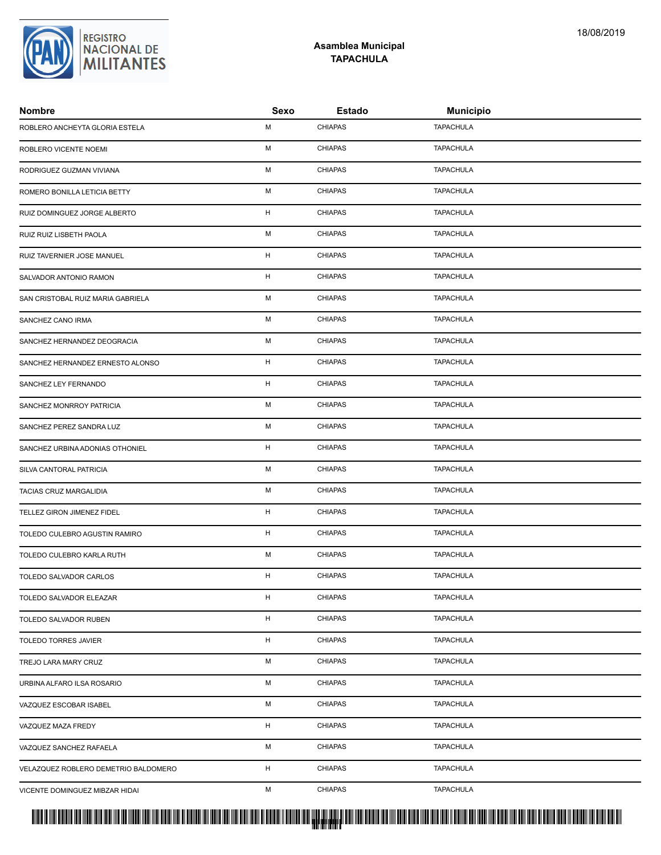**Nombre Sexo Estado Municipio**

ROBLERO ANCHEYTA GLORIA ESTELA M CHIAPAS TAPACHULA ROBLERO VICENTE NOEMI **M** CHIAPAS TAPACHULA

| VICENTE DOMINGUEZ MIBZAR HIDAI       | M | <b>CHIAPAS</b> | <b>TAPACHULA</b> |
|--------------------------------------|---|----------------|------------------|
| VELAZQUEZ ROBLERO DEMETRIO BALDOMERO | H | <b>CHIAPAS</b> | <b>TAPACHULA</b> |
| VAZQUEZ SANCHEZ RAFAELA              | М | <b>CHIAPAS</b> | <b>TAPACHULA</b> |
| VAZQUEZ MAZA FREDY                   | H | <b>CHIAPAS</b> | <b>TAPACHULA</b> |
| VAZQUEZ ESCOBAR ISABEL               | М | <b>CHIAPAS</b> | <b>TAPACHULA</b> |
| URBINA ALFARO ILSA ROSARIO           | M | <b>CHIAPAS</b> | TAPACHULA        |
| TREJO LARA MARY CRUZ                 | М | <b>CHIAPAS</b> | <b>TAPACHULA</b> |
| <b>TOLEDO TORRES JAVIER</b>          | H | <b>CHIAPAS</b> | <b>TAPACHULA</b> |
| TOLEDO SALVADOR RUBEN                | H | <b>CHIAPAS</b> | <b>TAPACHULA</b> |
| TOLEDO SALVADOR ELEAZAR              | H | <b>CHIAPAS</b> | <b>TAPACHULA</b> |
| TOLEDO SALVADOR CARLOS               | H | <b>CHIAPAS</b> | <b>TAPACHULA</b> |
| TOLEDO CULEBRO KARLA RUTH            | M | <b>CHIAPAS</b> | <b>TAPACHULA</b> |
| TOLEDO CULEBRO AGUSTIN RAMIRO        | H | <b>CHIAPAS</b> | <b>TAPACHULA</b> |
| TELLEZ GIRON JIMENEZ FIDEL           | H | <b>CHIAPAS</b> | <b>TAPACHULA</b> |
| TACIAS CRUZ MARGALIDIA               | M | <b>CHIAPAS</b> | <b>TAPACHULA</b> |
| SILVA CANTORAL PATRICIA              | M | <b>CHIAPAS</b> | <b>TAPACHULA</b> |
| SANCHEZ URBINA ADONIAS OTHONIEL      | H | <b>CHIAPAS</b> | <b>TAPACHULA</b> |
| SANCHEZ PEREZ SANDRA LUZ             | M | <b>CHIAPAS</b> | <b>TAPACHULA</b> |
| SANCHEZ MONRROY PATRICIA             | М | <b>CHIAPAS</b> | <b>TAPACHULA</b> |
| SANCHEZ LEY FERNANDO                 | H | <b>CHIAPAS</b> | <b>TAPACHULA</b> |
| SANCHEZ HERNANDEZ ERNESTO ALONSO     | H | <b>CHIAPAS</b> | <b>TAPACHULA</b> |
| SANCHEZ HERNANDEZ DEOGRACIA          | M | <b>CHIAPAS</b> | <b>TAPACHULA</b> |
| SANCHEZ CANO IRMA                    | M | <b>CHIAPAS</b> | <b>TAPACHULA</b> |
| SAN CRISTOBAL RUIZ MARIA GABRIELA    | M | <b>CHIAPAS</b> | <b>TAPACHULA</b> |
| SALVADOR ANTONIO RAMON               | H | <b>CHIAPAS</b> | <b>TAPACHULA</b> |
| RUIZ TAVERNIER JOSE MANUEL           | H | <b>CHIAPAS</b> | <b>TAPACHULA</b> |
| RUIZ RUIZ LISBETH PAOLA              | M | <b>CHIAPAS</b> | <b>TAPACHULA</b> |
| RUIZ DOMINGUEZ JORGE ALBERTO         | H | <b>CHIAPAS</b> | <b>TAPACHULA</b> |
| ROMERO BONILLA LETICIA BETTY         | м | <b>CHIAPAS</b> | <b>TAPACHULA</b> |
| RODRIGUEZ GUZMAN VIVIANA             | M | <b>CHIAPAS</b> | <b>TAPACHULA</b> |

<mark>. Pangyakan k</mark>

## **Asamblea Municipal TAPACHULA**